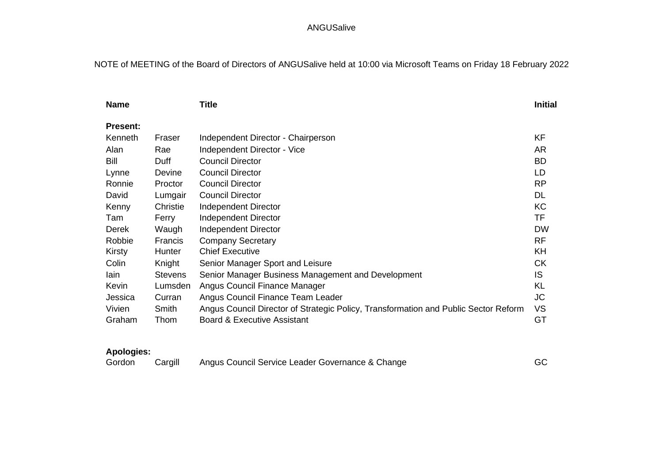# NOTE of MEETING of the Board of Directors of ANGUSalive held at 10:00 via Microsoft Teams on Friday 18 February 2022

| <b>Name</b>     |                | <b>Title</b>                                                                        | <b>Initial</b> |
|-----------------|----------------|-------------------------------------------------------------------------------------|----------------|
| <b>Present:</b> |                |                                                                                     |                |
| Kenneth         | Fraser         | Independent Director - Chairperson                                                  | KF             |
| Alan            | Rae            | Independent Director - Vice                                                         | <b>AR</b>      |
| Bill            | Duff           | <b>Council Director</b>                                                             | <b>BD</b>      |
| Lynne           | Devine         | <b>Council Director</b>                                                             | LD             |
| Ronnie          | Proctor        | <b>Council Director</b>                                                             | <b>RP</b>      |
| David           | Lumgair        | <b>Council Director</b>                                                             | <b>DL</b>      |
| Kenny           | Christie       | Independent Director                                                                | KC             |
| Tam             | Ferry          | Independent Director                                                                | TF             |
| Derek           | Waugh          | Independent Director                                                                | <b>DW</b>      |
| Robbie          | <b>Francis</b> | <b>Company Secretary</b>                                                            | <b>RF</b>      |
| Kirsty          | Hunter         | <b>Chief Executive</b>                                                              | KH             |
| Colin           | Knight         | Senior Manager Sport and Leisure                                                    | <b>CK</b>      |
| lain            | <b>Stevens</b> | Senior Manager Business Management and Development                                  | <b>IS</b>      |
| Kevin           | Lumsden        | Angus Council Finance Manager                                                       | <b>KL</b>      |
| Jessica         | Curran         | Angus Council Finance Team Leader                                                   | <b>JC</b>      |
| Vivien          | Smith          | Angus Council Director of Strategic Policy, Transformation and Public Sector Reform | <b>VS</b>      |
| Graham          | Thom           | <b>Board &amp; Executive Assistant</b>                                              | GT             |

# **Apologies:**

| Gordon | Cargill | Angus Council Service Leader Governance & Change | GC |
|--------|---------|--------------------------------------------------|----|
|--------|---------|--------------------------------------------------|----|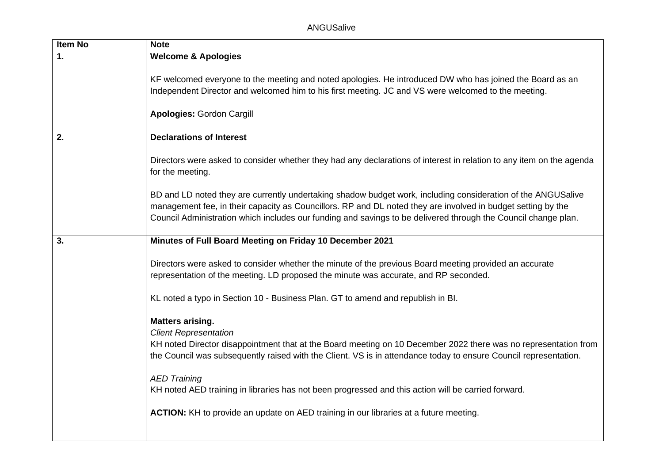| <b>Item No</b> | <b>Note</b>                                                                                                                                                                                                                                                                                                                                    |
|----------------|------------------------------------------------------------------------------------------------------------------------------------------------------------------------------------------------------------------------------------------------------------------------------------------------------------------------------------------------|
| $\mathbf{1}$ . | <b>Welcome &amp; Apologies</b>                                                                                                                                                                                                                                                                                                                 |
|                | KF welcomed everyone to the meeting and noted apologies. He introduced DW who has joined the Board as an<br>Independent Director and welcomed him to his first meeting. JC and VS were welcomed to the meeting.<br><b>Apologies: Gordon Cargill</b>                                                                                            |
| 2.             | <b>Declarations of Interest</b>                                                                                                                                                                                                                                                                                                                |
|                | Directors were asked to consider whether they had any declarations of interest in relation to any item on the agenda<br>for the meeting.                                                                                                                                                                                                       |
|                | BD and LD noted they are currently undertaking shadow budget work, including consideration of the ANGUSalive<br>management fee, in their capacity as Councillors. RP and DL noted they are involved in budget setting by the<br>Council Administration which includes our funding and savings to be delivered through the Council change plan. |
| 3.             | Minutes of Full Board Meeting on Friday 10 December 2021                                                                                                                                                                                                                                                                                       |
|                | Directors were asked to consider whether the minute of the previous Board meeting provided an accurate<br>representation of the meeting. LD proposed the minute was accurate, and RP seconded.                                                                                                                                                 |
|                | KL noted a typo in Section 10 - Business Plan. GT to amend and republish in Bl.                                                                                                                                                                                                                                                                |
|                | <b>Matters arising.</b><br><b>Client Representation</b><br>KH noted Director disappointment that at the Board meeting on 10 December 2022 there was no representation from<br>the Council was subsequently raised with the Client. VS is in attendance today to ensure Council representation.<br><b>AED Training</b>                          |
|                | KH noted AED training in libraries has not been progressed and this action will be carried forward.                                                                                                                                                                                                                                            |
|                | ACTION: KH to provide an update on AED training in our libraries at a future meeting.                                                                                                                                                                                                                                                          |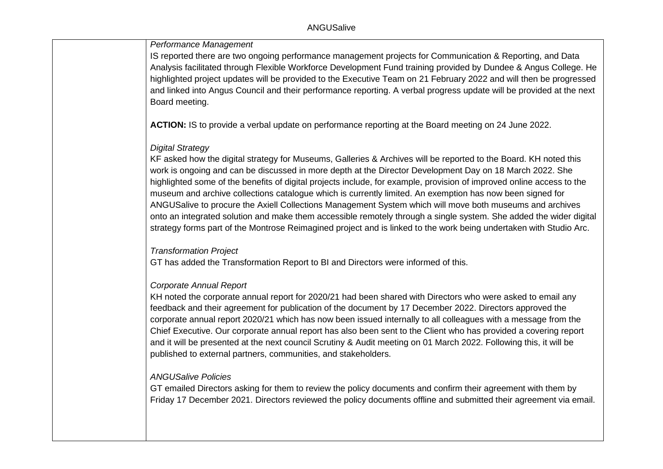### *Performance Management*

IS reported there are two ongoing performance management projects for Communication & Reporting, and Data Analysis facilitated through Flexible Workforce Development Fund training provided by Dundee & Angus College. He highlighted project updates will be provided to the Executive Team on 21 February 2022 and will then be progressed and linked into Angus Council and their performance reporting. A verbal progress update will be provided at the next Board meeting.

**ACTION:** IS to provide a verbal update on performance reporting at the Board meeting on 24 June 2022.

#### *Digital Strategy*

KF asked how the digital strategy for Museums, Galleries & Archives will be reported to the Board. KH noted this work is ongoing and can be discussed in more depth at the Director Development Day on 18 March 2022. She highlighted some of the benefits of digital projects include, for example, provision of improved online access to the museum and archive collections catalogue which is currently limited. An exemption has now been signed for ANGUSalive to procure the Axiell Collections Management System which will move both museums and archives onto an integrated solution and make them accessible remotely through a single system. She added the wider digital strategy forms part of the Montrose Reimagined project and is linked to the work being undertaken with Studio Arc.

#### *Transformation Project*

GT has added the Transformation Report to BI and Directors were informed of this.

### *Corporate Annual Report*

KH noted the corporate annual report for 2020/21 had been shared with Directors who were asked to email any feedback and their agreement for publication of the document by 17 December 2022. Directors approved the corporate annual report 2020/21 which has now been issued internally to all colleagues with a message from the Chief Executive. Our corporate annual report has also been sent to the Client who has provided a covering report and it will be presented at the next council Scrutiny & Audit meeting on 01 March 2022. Following this, it will be published to external partners, communities, and stakeholders.

### *ANGUSalive Policies*

GT emailed Directors asking for them to review the policy documents and confirm their agreement with them by Friday 17 December 2021. Directors reviewed the policy documents offline and submitted their agreement via email.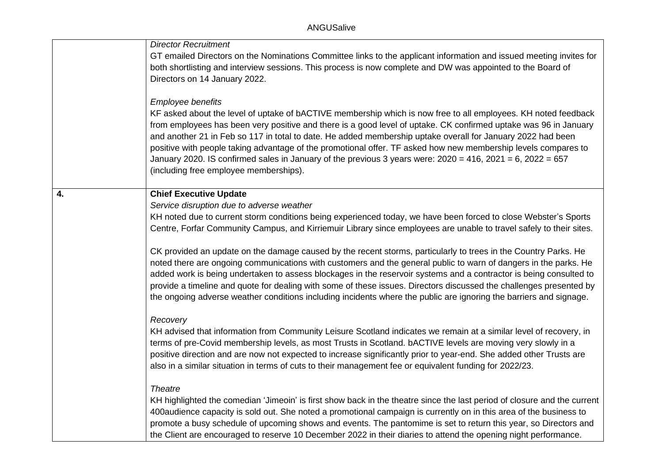|    | <b>Director Recruitment</b>                                                                                                                                                                                                        |
|----|------------------------------------------------------------------------------------------------------------------------------------------------------------------------------------------------------------------------------------|
|    | GT emailed Directors on the Nominations Committee links to the applicant information and issued meeting invites for                                                                                                                |
|    | both shortlisting and interview sessions. This process is now complete and DW was appointed to the Board of                                                                                                                        |
|    | Directors on 14 January 2022.                                                                                                                                                                                                      |
|    |                                                                                                                                                                                                                                    |
|    | Employee benefits                                                                                                                                                                                                                  |
|    | KF asked about the level of uptake of bACTIVE membership which is now free to all employees. KH noted feedback<br>from employees has been very positive and there is a good level of uptake. CK confirmed uptake was 96 in January |
|    | and another 21 in Feb so 117 in total to date. He added membership uptake overall for January 2022 had been                                                                                                                        |
|    | positive with people taking advantage of the promotional offer. TF asked how new membership levels compares to                                                                                                                     |
|    | January 2020. IS confirmed sales in January of the previous 3 years were: $2020 = 416$ , $2021 = 6$ , $2022 = 657$                                                                                                                 |
|    | (including free employee memberships).                                                                                                                                                                                             |
|    |                                                                                                                                                                                                                                    |
| 4. | <b>Chief Executive Update</b>                                                                                                                                                                                                      |
|    | Service disruption due to adverse weather                                                                                                                                                                                          |
|    | KH noted due to current storm conditions being experienced today, we have been forced to close Webster's Sports                                                                                                                    |
|    | Centre, Forfar Community Campus, and Kirriemuir Library since employees are unable to travel safely to their sites.                                                                                                                |
|    | CK provided an update on the damage caused by the recent storms, particularly to trees in the Country Parks. He                                                                                                                    |
|    | noted there are ongoing communications with customers and the general public to warn of dangers in the parks. He                                                                                                                   |
|    | added work is being undertaken to assess blockages in the reservoir systems and a contractor is being consulted to                                                                                                                 |
|    | provide a timeline and quote for dealing with some of these issues. Directors discussed the challenges presented by                                                                                                                |
|    | the ongoing adverse weather conditions including incidents where the public are ignoring the barriers and signage.                                                                                                                 |
|    |                                                                                                                                                                                                                                    |
|    | Recovery                                                                                                                                                                                                                           |
|    | KH advised that information from Community Leisure Scotland indicates we remain at a similar level of recovery, in<br>terms of pre-Covid membership levels, as most Trusts in Scotland. bACTIVE levels are moving very slowly in a |
|    | positive direction and are now not expected to increase significantly prior to year-end. She added other Trusts are                                                                                                                |
|    | also in a similar situation in terms of cuts to their management fee or equivalent funding for 2022/23.                                                                                                                            |
|    |                                                                                                                                                                                                                                    |
|    | <b>Theatre</b>                                                                                                                                                                                                                     |
|    | KH highlighted the comedian 'Jimeoin' is first show back in the theatre since the last period of closure and the current                                                                                                           |
|    | 400 audience capacity is sold out. She noted a promotional campaign is currently on in this area of the business to                                                                                                                |
|    | promote a busy schedule of upcoming shows and events. The pantomime is set to return this year, so Directors and                                                                                                                   |
|    | the Client are encouraged to reserve 10 December 2022 in their diaries to attend the opening night performance.                                                                                                                    |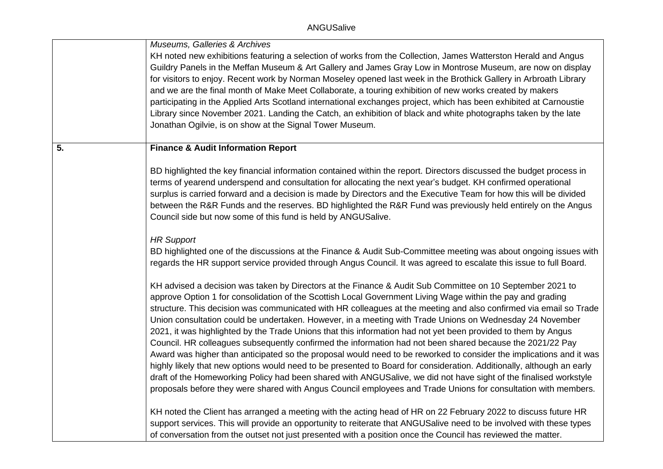|    | Museums, Galleries & Archives<br>KH noted new exhibitions featuring a selection of works from the Collection, James Watterston Herald and Angus<br>Guildry Panels in the Meffan Museum & Art Gallery and James Gray Low in Montrose Museum, are now on display<br>for visitors to enjoy. Recent work by Norman Moseley opened last week in the Brothick Gallery in Arbroath Library<br>and we are the final month of Make Meet Collaborate, a touring exhibition of new works created by makers<br>participating in the Applied Arts Scotland international exchanges project, which has been exhibited at Carnoustie<br>Library since November 2021. Landing the Catch, an exhibition of black and white photographs taken by the late<br>Jonathan Ogilvie, is on show at the Signal Tower Museum.                                                                                                                                                                                                                                                                                                                                                                           |
|----|-------------------------------------------------------------------------------------------------------------------------------------------------------------------------------------------------------------------------------------------------------------------------------------------------------------------------------------------------------------------------------------------------------------------------------------------------------------------------------------------------------------------------------------------------------------------------------------------------------------------------------------------------------------------------------------------------------------------------------------------------------------------------------------------------------------------------------------------------------------------------------------------------------------------------------------------------------------------------------------------------------------------------------------------------------------------------------------------------------------------------------------------------------------------------------|
| 5. | <b>Finance &amp; Audit Information Report</b>                                                                                                                                                                                                                                                                                                                                                                                                                                                                                                                                                                                                                                                                                                                                                                                                                                                                                                                                                                                                                                                                                                                                 |
|    | BD highlighted the key financial information contained within the report. Directors discussed the budget process in<br>terms of yearend underspend and consultation for allocating the next year's budget. KH confirmed operational<br>surplus is carried forward and a decision is made by Directors and the Executive Team for how this will be divided<br>between the R&R Funds and the reserves. BD highlighted the R&R Fund was previously held entirely on the Angus<br>Council side but now some of this fund is held by ANGUSalive.                                                                                                                                                                                                                                                                                                                                                                                                                                                                                                                                                                                                                                   |
|    | <b>HR Support</b><br>BD highlighted one of the discussions at the Finance & Audit Sub-Committee meeting was about ongoing issues with<br>regards the HR support service provided through Angus Council. It was agreed to escalate this issue to full Board.                                                                                                                                                                                                                                                                                                                                                                                                                                                                                                                                                                                                                                                                                                                                                                                                                                                                                                                   |
|    | KH advised a decision was taken by Directors at the Finance & Audit Sub Committee on 10 September 2021 to<br>approve Option 1 for consolidation of the Scottish Local Government Living Wage within the pay and grading<br>structure. This decision was communicated with HR colleagues at the meeting and also confirmed via email so Trade<br>Union consultation could be undertaken. However, in a meeting with Trade Unions on Wednesday 24 November<br>2021, it was highlighted by the Trade Unions that this information had not yet been provided to them by Angus<br>Council. HR colleagues subsequently confirmed the information had not been shared because the 2021/22 Pay<br>Award was higher than anticipated so the proposal would need to be reworked to consider the implications and it was<br>highly likely that new options would need to be presented to Board for consideration. Additionally, although an early<br>draft of the Homeworking Policy had been shared with ANGUSalive, we did not have sight of the finalised workstyle<br>proposals before they were shared with Angus Council employees and Trade Unions for consultation with members. |
|    | KH noted the Client has arranged a meeting with the acting head of HR on 22 February 2022 to discuss future HR<br>support services. This will provide an opportunity to reiterate that ANGUSalive need to be involved with these types<br>of conversation from the outset not just presented with a position once the Council has reviewed the matter.                                                                                                                                                                                                                                                                                                                                                                                                                                                                                                                                                                                                                                                                                                                                                                                                                        |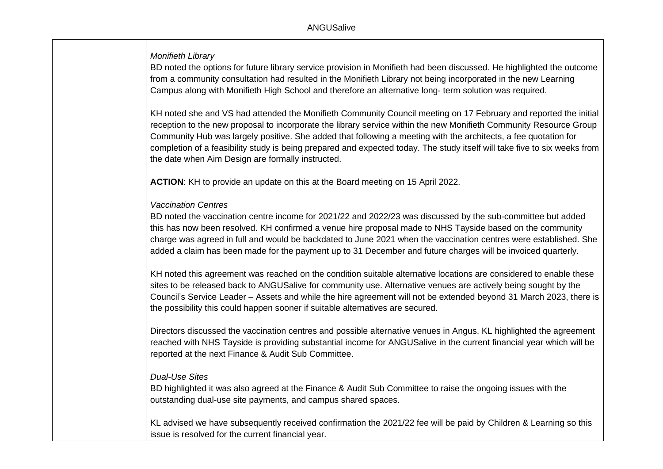*Monifieth Library*

BD noted the options for future library service provision in Monifieth had been discussed. He highlighted the outcome from a community consultation had resulted in the Monifieth Library not being incorporated in the new Learning Campus along with Monifieth High School and therefore an alternative long- term solution was required.

KH noted she and VS had attended the Monifieth Community Council meeting on 17 February and reported the initial reception to the new proposal to incorporate the library service within the new Monifieth Community Resource Group Community Hub was largely positive. She added that following a meeting with the architects, a fee quotation for completion of a feasibility study is being prepared and expected today. The study itself will take five to six weeks from the date when Aim Design are formally instructed.

**ACTION**: KH to provide an update on this at the Board meeting on 15 April 2022.

### *Vaccination Centres*

BD noted the vaccination centre income for 2021/22 and 2022/23 was discussed by the sub-committee but added this has now been resolved. KH confirmed a venue hire proposal made to NHS Tayside based on the community charge was agreed in full and would be backdated to June 2021 when the vaccination centres were established. She added a claim has been made for the payment up to 31 December and future charges will be invoiced quarterly.

KH noted this agreement was reached on the condition suitable alternative locations are considered to enable these sites to be released back to ANGUSalive for community use. Alternative venues are actively being sought by the Council's Service Leader – Assets and while the hire agreement will not be extended beyond 31 March 2023, there is the possibility this could happen sooner if suitable alternatives are secured.

Directors discussed the vaccination centres and possible alternative venues in Angus. KL highlighted the agreement reached with NHS Tayside is providing substantial income for ANGUSalive in the current financial year which will be reported at the next Finance & Audit Sub Committee.

### *Dual-Use Sites*

BD highlighted it was also agreed at the Finance & Audit Sub Committee to raise the ongoing issues with the outstanding dual-use site payments, and campus shared spaces.

KL advised we have subsequently received confirmation the 2021/22 fee will be paid by Children & Learning so this issue is resolved for the current financial year.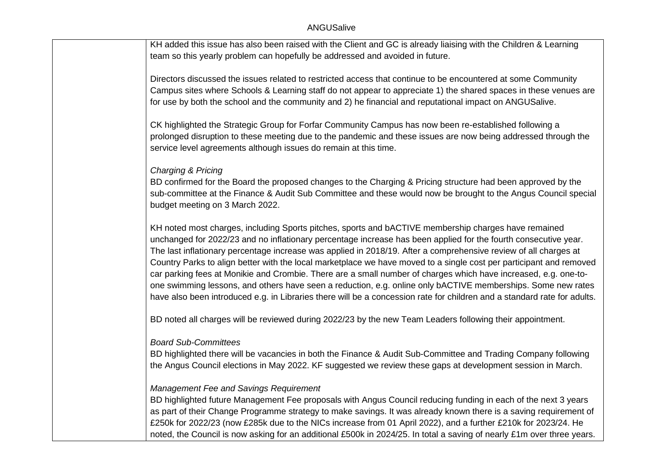KH added this issue has also been raised with the Client and GC is already liaising with the Children & Learning team so this yearly problem can hopefully be addressed and avoided in future.

Directors discussed the issues related to restricted access that continue to be encountered at some Community Campus sites where Schools & Learning staff do not appear to appreciate 1) the shared spaces in these venues are for use by both the school and the community and 2) he financial and reputational impact on ANGUSalive.

CK highlighted the Strategic Group for Forfar Community Campus has now been re-established following a prolonged disruption to these meeting due to the pandemic and these issues are now being addressed through the service level agreements although issues do remain at this time.

### *Charging & Pricing*

BD confirmed for the Board the proposed changes to the Charging & Pricing structure had been approved by the sub-committee at the Finance & Audit Sub Committee and these would now be brought to the Angus Council special budget meeting on 3 March 2022.

KH noted most charges, including Sports pitches, sports and bACTIVE membership charges have remained unchanged for 2022/23 and no inflationary percentage increase has been applied for the fourth consecutive year. The last inflationary percentage increase was applied in 2018/19. After a comprehensive review of all charges at Country Parks to align better with the local marketplace we have moved to a single cost per participant and removed car parking fees at Monikie and Crombie. There are a small number of charges which have increased, e.g. one-toone swimming lessons, and others have seen a reduction, e.g. online only bACTIVE memberships. Some new rates have also been introduced e.g. in Libraries there will be a concession rate for children and a standard rate for adults.

BD noted all charges will be reviewed during 2022/23 by the new Team Leaders following their appointment.

### *Board Sub-Committees*

BD highlighted there will be vacancies in both the Finance & Audit Sub-Committee and Trading Company following the Angus Council elections in May 2022. KF suggested we review these gaps at development session in March.

### *Management Fee and Savings Requirement*

BD highlighted future Management Fee proposals with Angus Council reducing funding in each of the next 3 years as part of their Change Programme strategy to make savings. It was already known there is a saving requirement of £250k for 2022/23 (now £285k due to the NICs increase from 01 April 2022), and a further £210k for 2023/24. He noted, the Council is now asking for an additional £500k in 2024/25. In total a saving of nearly £1m over three years.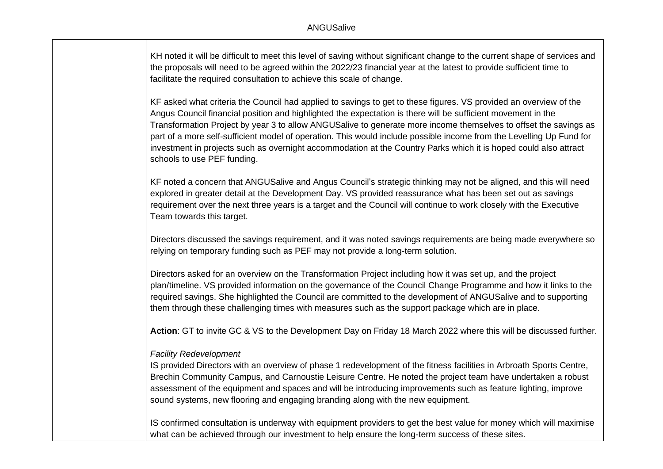KH noted it will be difficult to meet this level of saving without significant change to the current shape of services and the proposals will need to be agreed within the 2022/23 financial year at the latest to provide sufficient time to facilitate the required consultation to achieve this scale of change.

KF asked what criteria the Council had applied to savings to get to these figures. VS provided an overview of the Angus Council financial position and highlighted the expectation is there will be sufficient movement in the Transformation Project by year 3 to allow ANGUSalive to generate more income themselves to offset the savings as part of a more self-sufficient model of operation. This would include possible income from the Levelling Up Fund for investment in projects such as overnight accommodation at the Country Parks which it is hoped could also attract schools to use PEF funding.

KF noted a concern that ANGUSalive and Angus Council's strategic thinking may not be aligned, and this will need explored in greater detail at the Development Day. VS provided reassurance what has been set out as savings requirement over the next three years is a target and the Council will continue to work closely with the Executive Team towards this target.

Directors discussed the savings requirement, and it was noted savings requirements are being made everywhere so relying on temporary funding such as PEF may not provide a long-term solution.

Directors asked for an overview on the Transformation Project including how it was set up, and the project plan/timeline. VS provided information on the governance of the Council Change Programme and how it links to the required savings. She highlighted the Council are committed to the development of ANGUSalive and to supporting them through these challenging times with measures such as the support package which are in place.

**Action**: GT to invite GC & VS to the Development Day on Friday 18 March 2022 where this will be discussed further.

#### *Facility Redevelopment*

IS provided Directors with an overview of phase 1 redevelopment of the fitness facilities in Arbroath Sports Centre, Brechin Community Campus, and Carnoustie Leisure Centre. He noted the project team have undertaken a robust assessment of the equipment and spaces and will be introducing improvements such as feature lighting, improve sound systems, new flooring and engaging branding along with the new equipment.

IS confirmed consultation is underway with equipment providers to get the best value for money which will maximise what can be achieved through our investment to help ensure the long-term success of these sites.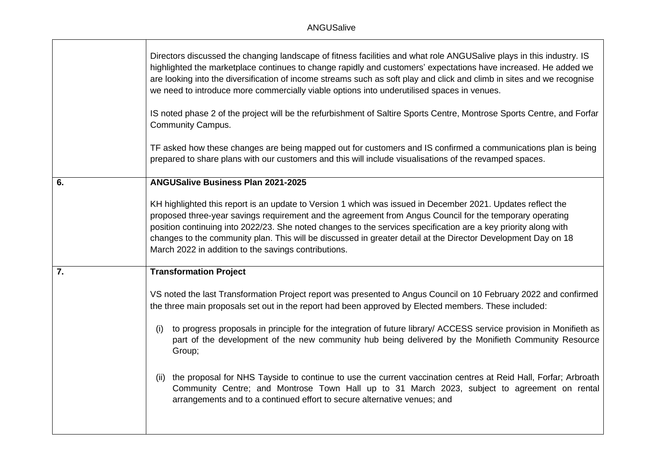|    | Directors discussed the changing landscape of fitness facilities and what role ANGUSalive plays in this industry. IS<br>highlighted the marketplace continues to change rapidly and customers' expectations have increased. He added we<br>are looking into the diversification of income streams such as soft play and click and climb in sites and we recognise<br>we need to introduce more commercially viable options into underutilised spaces in venues.                                                     |
|----|---------------------------------------------------------------------------------------------------------------------------------------------------------------------------------------------------------------------------------------------------------------------------------------------------------------------------------------------------------------------------------------------------------------------------------------------------------------------------------------------------------------------|
|    | IS noted phase 2 of the project will be the refurbishment of Saltire Sports Centre, Montrose Sports Centre, and Forfar<br><b>Community Campus.</b>                                                                                                                                                                                                                                                                                                                                                                  |
|    | TF asked how these changes are being mapped out for customers and IS confirmed a communications plan is being<br>prepared to share plans with our customers and this will include visualisations of the revamped spaces.                                                                                                                                                                                                                                                                                            |
| 6. | <b>ANGUSalive Business Plan 2021-2025</b>                                                                                                                                                                                                                                                                                                                                                                                                                                                                           |
|    | KH highlighted this report is an update to Version 1 which was issued in December 2021. Updates reflect the<br>proposed three-year savings requirement and the agreement from Angus Council for the temporary operating<br>position continuing into 2022/23. She noted changes to the services specification are a key priority along with<br>changes to the community plan. This will be discussed in greater detail at the Director Development Day on 18<br>March 2022 in addition to the savings contributions. |
| 7. | <b>Transformation Project</b>                                                                                                                                                                                                                                                                                                                                                                                                                                                                                       |
|    | VS noted the last Transformation Project report was presented to Angus Council on 10 February 2022 and confirmed<br>the three main proposals set out in the report had been approved by Elected members. These included:                                                                                                                                                                                                                                                                                            |
|    | to progress proposals in principle for the integration of future library/ ACCESS service provision in Monifieth as<br>(i)<br>part of the development of the new community hub being delivered by the Monifieth Community Resource<br>Group;                                                                                                                                                                                                                                                                         |
|    | the proposal for NHS Tayside to continue to use the current vaccination centres at Reid Hall, Forfar; Arbroath<br>(11)<br>Community Centre; and Montrose Town Hall up to 31 March 2023, subject to agreement on rental<br>arrangements and to a continued effort to secure alternative venues; and                                                                                                                                                                                                                  |
|    |                                                                                                                                                                                                                                                                                                                                                                                                                                                                                                                     |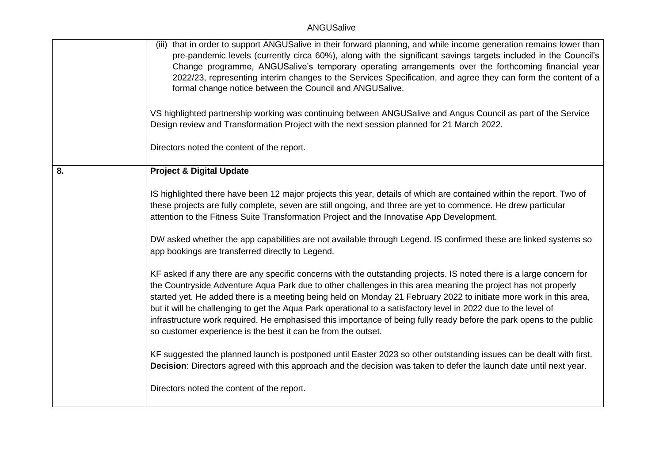|    | (iii) that in order to support ANGUSalive in their forward planning, and while income generation remains lower than<br>pre-pandemic levels (currently circa 60%), along with the significant savings targets included in the Council's<br>Change programme, ANGUSalive's temporary operating arrangements over the forthcoming financial year<br>2022/23, representing interim changes to the Services Specification, and agree they can form the content of a<br>formal change notice between the Council and ANGUSalive.                                                                                                                                              |
|----|-------------------------------------------------------------------------------------------------------------------------------------------------------------------------------------------------------------------------------------------------------------------------------------------------------------------------------------------------------------------------------------------------------------------------------------------------------------------------------------------------------------------------------------------------------------------------------------------------------------------------------------------------------------------------|
|    | VS highlighted partnership working was continuing between ANGUSalive and Angus Council as part of the Service<br>Design review and Transformation Project with the next session planned for 21 March 2022.                                                                                                                                                                                                                                                                                                                                                                                                                                                              |
|    | Directors noted the content of the report.                                                                                                                                                                                                                                                                                                                                                                                                                                                                                                                                                                                                                              |
| 8. | <b>Project &amp; Digital Update</b>                                                                                                                                                                                                                                                                                                                                                                                                                                                                                                                                                                                                                                     |
|    | IS highlighted there have been 12 major projects this year, details of which are contained within the report. Two of<br>these projects are fully complete, seven are still ongoing, and three are yet to commence. He drew particular<br>attention to the Fitness Suite Transformation Project and the Innovatise App Development.                                                                                                                                                                                                                                                                                                                                      |
|    | DW asked whether the app capabilities are not available through Legend. IS confirmed these are linked systems so<br>app bookings are transferred directly to Legend.                                                                                                                                                                                                                                                                                                                                                                                                                                                                                                    |
|    | KF asked if any there are any specific concerns with the outstanding projects. IS noted there is a large concern for<br>the Countryside Adventure Aqua Park due to other challenges in this area meaning the project has not properly<br>started yet. He added there is a meeting being held on Monday 21 February 2022 to initiate more work in this area,<br>but it will be challenging to get the Aqua Park operational to a satisfactory level in 2022 due to the level of<br>infrastructure work required. He emphasised this importance of being fully ready before the park opens to the public<br>so customer experience is the best it can be from the outset. |
|    | KF suggested the planned launch is postponed until Easter 2023 so other outstanding issues can be dealt with first.<br>Decision: Directors agreed with this approach and the decision was taken to defer the launch date until next year.                                                                                                                                                                                                                                                                                                                                                                                                                               |
|    | Directors noted the content of the report.                                                                                                                                                                                                                                                                                                                                                                                                                                                                                                                                                                                                                              |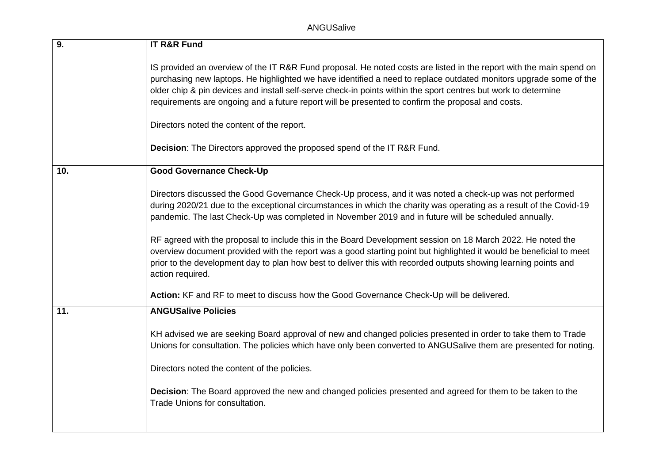| 9.  | <b>IT R&amp;R Fund</b>                                                                                                                                                                                                                                                                                                                                                                                                                                          |
|-----|-----------------------------------------------------------------------------------------------------------------------------------------------------------------------------------------------------------------------------------------------------------------------------------------------------------------------------------------------------------------------------------------------------------------------------------------------------------------|
|     | IS provided an overview of the IT R&R Fund proposal. He noted costs are listed in the report with the main spend on<br>purchasing new laptops. He highlighted we have identified a need to replace outdated monitors upgrade some of the<br>older chip & pin devices and install self-serve check-in points within the sport centres but work to determine<br>requirements are ongoing and a future report will be presented to confirm the proposal and costs. |
|     | Directors noted the content of the report.                                                                                                                                                                                                                                                                                                                                                                                                                      |
|     | <b>Decision:</b> The Directors approved the proposed spend of the IT R&R Fund.                                                                                                                                                                                                                                                                                                                                                                                  |
| 10. | <b>Good Governance Check-Up</b>                                                                                                                                                                                                                                                                                                                                                                                                                                 |
|     | Directors discussed the Good Governance Check-Up process, and it was noted a check-up was not performed<br>during 2020/21 due to the exceptional circumstances in which the charity was operating as a result of the Covid-19<br>pandemic. The last Check-Up was completed in November 2019 and in future will be scheduled annually.                                                                                                                           |
|     | RF agreed with the proposal to include this in the Board Development session on 18 March 2022. He noted the<br>overview document provided with the report was a good starting point but highlighted it would be beneficial to meet<br>prior to the development day to plan how best to deliver this with recorded outputs showing learning points and<br>action required.                                                                                       |
|     | Action: KF and RF to meet to discuss how the Good Governance Check-Up will be delivered.                                                                                                                                                                                                                                                                                                                                                                        |
| 11. | <b>ANGUSalive Policies</b>                                                                                                                                                                                                                                                                                                                                                                                                                                      |
|     | KH advised we are seeking Board approval of new and changed policies presented in order to take them to Trade<br>Unions for consultation. The policies which have only been converted to ANGUSalive them are presented for noting.                                                                                                                                                                                                                              |
|     | Directors noted the content of the policies.                                                                                                                                                                                                                                                                                                                                                                                                                    |
|     | Decision: The Board approved the new and changed policies presented and agreed for them to be taken to the<br>Trade Unions for consultation.                                                                                                                                                                                                                                                                                                                    |
|     |                                                                                                                                                                                                                                                                                                                                                                                                                                                                 |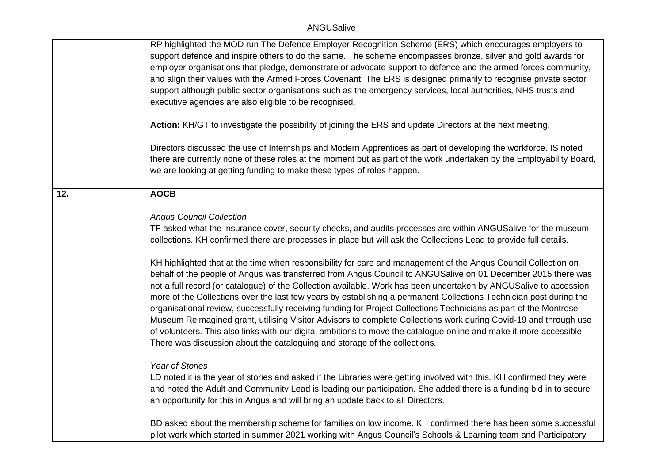|     | RP highlighted the MOD run The Defence Employer Recognition Scheme (ERS) which encourages employers to<br>support defence and inspire others to do the same. The scheme encompasses bronze, silver and gold awards for<br>employer organisations that pledge, demonstrate or advocate support to defence and the armed forces community,<br>and align their values with the Armed Forces Covenant. The ERS is designed primarily to recognise private sector<br>support although public sector organisations such as the emergency services, local authorities, NHS trusts and<br>executive agencies are also eligible to be recognised.<br>Action: KH/GT to investigate the possibility of joining the ERS and update Directors at the next meeting.<br>Directors discussed the use of Internships and Modern Apprentices as part of developing the workforce. IS noted<br>there are currently none of these roles at the moment but as part of the work undertaken by the Employability Board,<br>we are looking at getting funding to make these types of roles happen.                                                                                                                       |
|-----|--------------------------------------------------------------------------------------------------------------------------------------------------------------------------------------------------------------------------------------------------------------------------------------------------------------------------------------------------------------------------------------------------------------------------------------------------------------------------------------------------------------------------------------------------------------------------------------------------------------------------------------------------------------------------------------------------------------------------------------------------------------------------------------------------------------------------------------------------------------------------------------------------------------------------------------------------------------------------------------------------------------------------------------------------------------------------------------------------------------------------------------------------------------------------------------------------|
| 12. | <b>AOCB</b>                                                                                                                                                                                                                                                                                                                                                                                                                                                                                                                                                                                                                                                                                                                                                                                                                                                                                                                                                                                                                                                                                                                                                                                      |
|     | <b>Angus Council Collection</b><br>TF asked what the insurance cover, security checks, and audits processes are within ANGUSalive for the museum<br>collections. KH confirmed there are processes in place but will ask the Collections Lead to provide full details.<br>KH highlighted that at the time when responsibility for care and management of the Angus Council Collection on<br>behalf of the people of Angus was transferred from Angus Council to ANGUSalive on 01 December 2015 there was<br>not a full record (or catalogue) of the Collection available. Work has been undertaken by ANGUSalive to accession<br>more of the Collections over the last few years by establishing a permanent Collections Technician post during the<br>organisational review, successfully receiving funding for Project Collections Technicians as part of the Montrose<br>Museum Reimagined grant, utilising Visitor Advisors to complete Collections work during Covid-19 and through use<br>of volunteers. This also links with our digital ambitions to move the catalogue online and make it more accessible.<br>There was discussion about the cataloguing and storage of the collections. |
|     | <b>Year of Stories</b><br>LD noted it is the year of stories and asked if the Libraries were getting involved with this. KH confirmed they were<br>and noted the Adult and Community Lead is leading our participation. She added there is a funding bid in to secure<br>an opportunity for this in Angus and will bring an update back to all Directors.                                                                                                                                                                                                                                                                                                                                                                                                                                                                                                                                                                                                                                                                                                                                                                                                                                        |
|     | BD asked about the membership scheme for families on low income. KH confirmed there has been some successful<br>pilot work which started in summer 2021 working with Angus Council's Schools & Learning team and Participatory                                                                                                                                                                                                                                                                                                                                                                                                                                                                                                                                                                                                                                                                                                                                                                                                                                                                                                                                                                   |